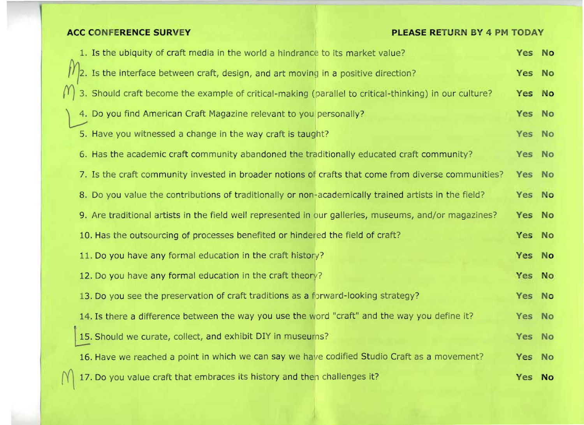## **ACC CONFERENCE SURVEY EXECUTE AND REASE RETURN BY 4 PM TODAY**

| 1. Is the ubiquity of craft media in the world a hindrance to its market value?                       | Yes No |  |
|-------------------------------------------------------------------------------------------------------|--------|--|
| Is the interface between craft, design, and art moving in a positive direction?                       | Yes No |  |
| 3. Should craft become the example of critical-making (parallel to critical-thinking) in our culture? | Yes No |  |
| 4. Do you find American Craft Magazine relevant to you personally?                                    | Yes No |  |
| 5. Have you witnessed a change in the way craft is taught?                                            | Yes No |  |
| 6. Has the academic craft community abandoned the traditionally educated craft community?             | Yes No |  |
| 7. Is the craft community invested in broader notions of crafts that come from diverse communities?   | Yes No |  |
| 8. Do you value the contributions of traditionally or non-academically trained artists in the field?  | Yes No |  |
| 9. Are traditional artists in the field well represented in our galleries, museums, and/or magazines? | Yes No |  |
| 10. Has the outsourcing of processes benefited or hindered the field of craft?                        | Yes No |  |
| 11. Do you have any formal education in the craft history?                                            | Yes No |  |
| 12. Do you have any formal education in the craft theory?                                             | Yes No |  |
| 13. Do you see the preservation of craft traditions as a forward-looking strategy?                    | Yes No |  |
| 14. Is there a difference between the way you use the word "craft" and the way you define it?         | Yes No |  |
| 15. Should we curate, collect, and exhibit DIY in museums?                                            | Yes No |  |
| 16. Have we reached a point in which we can say we have codified Studio Craft as a movement?          | Yes No |  |
| 17. Do you value craft that embraces its history and then challenges it?                              | Yes No |  |